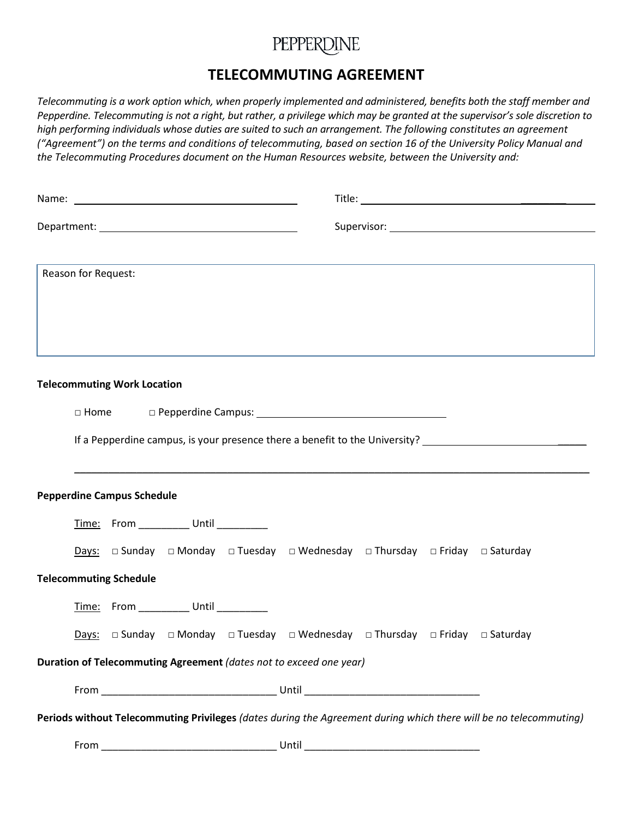## PEPPERDINE

### **TELECOMMUTING AGREEMENT**

*Telecommuting is a work option which, when properly implemented and administered, benefits both the staff member and Pepperdine. Telecommuting is not a right, but rather, a privilege which may be granted at the supervisor's sole discretion to high performing individuals whose duties are suited to such an arrangement. The following constitutes an agreement ("Agreement") on the terms and conditions of telecommuting, based on section 16 of the University Policy Manual and the Telecommuting Procedures document on the Human Resources website, between the University and:*

| Reason for Request:                                                                                               |                                                 |  |                                       |  |                                                                                                                        |  |  |                                                                                                                |  |
|-------------------------------------------------------------------------------------------------------------------|-------------------------------------------------|--|---------------------------------------|--|------------------------------------------------------------------------------------------------------------------------|--|--|----------------------------------------------------------------------------------------------------------------|--|
|                                                                                                                   |                                                 |  |                                       |  |                                                                                                                        |  |  |                                                                                                                |  |
|                                                                                                                   |                                                 |  |                                       |  |                                                                                                                        |  |  |                                                                                                                |  |
| <b>Telecommuting Work Location</b>                                                                                |                                                 |  |                                       |  |                                                                                                                        |  |  |                                                                                                                |  |
|                                                                                                                   |                                                 |  |                                       |  |                                                                                                                        |  |  |                                                                                                                |  |
|                                                                                                                   | $\Box$ Home<br>$\Box$ Pepperdine Campus: $\Box$ |  |                                       |  |                                                                                                                        |  |  |                                                                                                                |  |
|                                                                                                                   |                                                 |  |                                       |  |                                                                                                                        |  |  | If a Pepperdine campus, is your presence there a benefit to the University? __________________________________ |  |
|                                                                                                                   |                                                 |  |                                       |  |                                                                                                                        |  |  |                                                                                                                |  |
| <b>Pepperdine Campus Schedule</b>                                                                                 |                                                 |  |                                       |  |                                                                                                                        |  |  |                                                                                                                |  |
|                                                                                                                   |                                                 |  | Time: From __________ Until _________ |  |                                                                                                                        |  |  |                                                                                                                |  |
|                                                                                                                   |                                                 |  |                                       |  | Days: □ Sunday □ Monday □ Tuesday □ Wednesday □ Thursday □ Friday □ Saturday                                           |  |  |                                                                                                                |  |
| <b>Telecommuting Schedule</b>                                                                                     |                                                 |  |                                       |  |                                                                                                                        |  |  |                                                                                                                |  |
|                                                                                                                   |                                                 |  | Time: From _________ Until ________   |  |                                                                                                                        |  |  |                                                                                                                |  |
|                                                                                                                   |                                                 |  |                                       |  | <b>Days:</b> $\Box$ Sunday $\Box$ Monday $\Box$ Tuesday $\Box$ Wednesday $\Box$ Thursday $\Box$ Friday $\Box$ Saturday |  |  |                                                                                                                |  |
| Duration of Telecommuting Agreement (dates not to exceed one year)                                                |                                                 |  |                                       |  |                                                                                                                        |  |  |                                                                                                                |  |
|                                                                                                                   |                                                 |  |                                       |  |                                                                                                                        |  |  |                                                                                                                |  |
| Periods without Telecommuting Privileges (dates during the Agreement during which there will be no telecommuting) |                                                 |  |                                       |  |                                                                                                                        |  |  |                                                                                                                |  |
|                                                                                                                   |                                                 |  |                                       |  |                                                                                                                        |  |  |                                                                                                                |  |
|                                                                                                                   |                                                 |  |                                       |  |                                                                                                                        |  |  |                                                                                                                |  |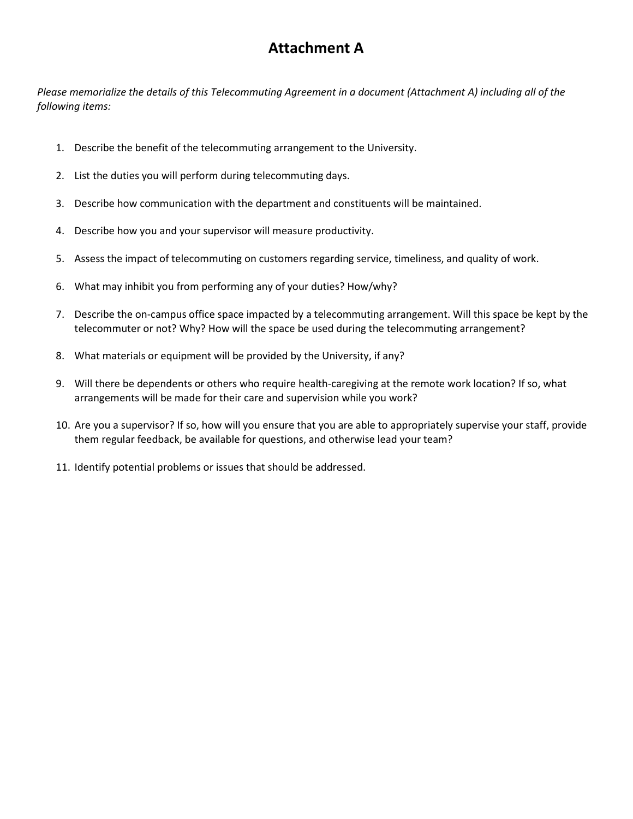### **Attachment A**

*Please memorialize the details of this Telecommuting Agreement in a document (Attachment A) including all of the following items:* 

- 1. Describe the benefit of the telecommuting arrangement to the University.
- 2. List the duties you will perform during telecommuting days.
- 3. Describe how communication with the department and constituents will be maintained.
- 4. Describe how you and your supervisor will measure productivity.
- 5. Assess the impact of telecommuting on customers regarding service, timeliness, and quality of work.
- 6. What may inhibit you from performing any of your duties? How/why?
- 7. Describe the on-campus office space impacted by a telecommuting arrangement. Will this space be kept by the telecommuter or not? Why? How will the space be used during the telecommuting arrangement?
- 8. What materials or equipment will be provided by the University, if any?
- 9. Will there be dependents or others who require health-caregiving at the remote work location? If so, what arrangements will be made for their care and supervision while you work?
- 10. Are you a supervisor? If so, how will you ensure that you are able to appropriately supervise your staff, provide them regular feedback, be available for questions, and otherwise lead your team?
- 11. Identify potential problems or issues that should be addressed.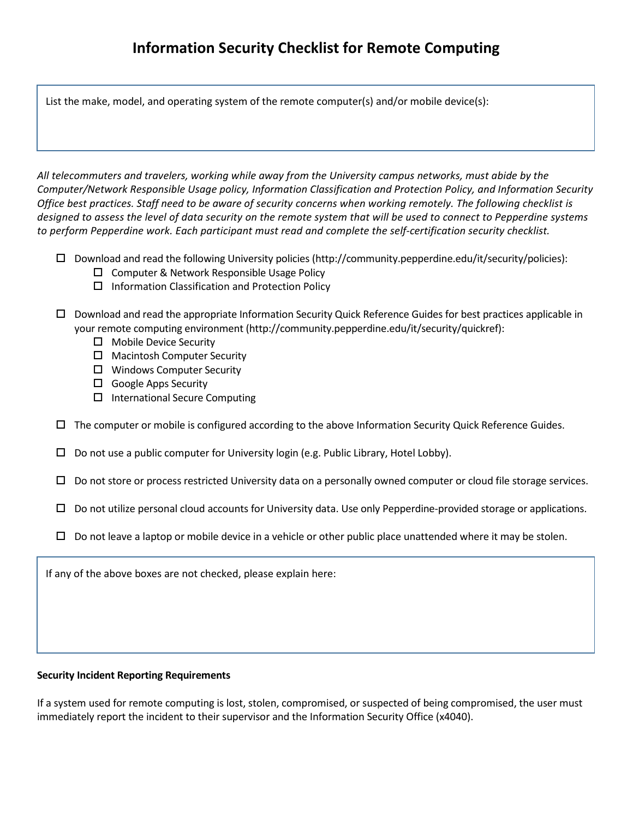List the make, model, and operating system of the remote computer(s) and/or mobile device(s):

*All telecommuters and travelers, working while away from the University campus networks, must abide by the Computer/Network Responsible Usage policy, Information Classification and Protection Policy, and Information Security Office best practices. Staff need to be aware of security concerns when working remotely. The following checklist is designed to assess the level of data security on the remote system that will be used to connect to Pepperdine systems to perform Pepperdine work. Each participant must read and complete the self-certification security checklist.* 

- Download and read the following University policies (http://community.pepperdine.edu/it/security/policies):
	- $\square$  Computer & Network Responsible Usage Policy
	- $\Box$  Information Classification and Protection Policy
- Download and read the appropriate Information Security Quick Reference Guides for best practices applicable in your remote computing environment (http://community.pepperdine.edu/it/security/quickref):
	- □ Mobile Device Security
	- $\Box$  Macintosh Computer Security
	- □ Windows Computer Security
	- $\Box$  Google Apps Security
	- $\square$  International Secure Computing
- $\Box$  The computer or mobile is configured according to the above Information Security Quick Reference Guides.
- $\Box$  Do not use a public computer for University login (e.g. Public Library, Hotel Lobby).
- $\Box$  Do not store or process restricted University data on a personally owned computer or cloud file storage services.
- $\Box$  Do not utilize personal cloud accounts for University data. Use only Pepperdine-provided storage or applications.
- $\Box$  Do not leave a laptop or mobile device in a vehicle or other public place unattended where it may be stolen.

If any of the above boxes are not checked, please explain here:

#### **Security Incident Reporting Requirements**

If a system used for remote computing is lost, stolen, compromised, or suspected of being compromised, the user must immediately report the incident to their supervisor and the Information Security Office (x4040).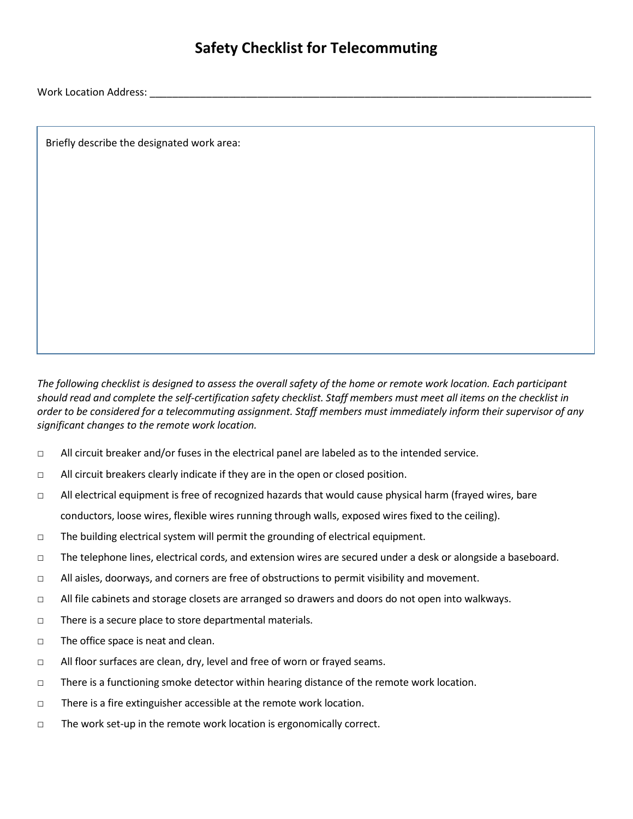### **Safety Checklist for Telecommuting**

Work Location Address: **Work Location Address**: **Work** Location Address: **Work** 2008

Briefly describe the designated work area:

*The following checklist is designed to assess the overall safety of the home or remote work location. Each participant should read and complete the self-certification safety checklist. Staff members must meet all items on the checklist in order to be considered for a telecommuting assignment. Staff members must immediately inform their supervisor of any significant changes to the remote work location.* 

- □ All circuit breaker and/or fuses in the electrical panel are labeled as to the intended service.
- □ All circuit breakers clearly indicate if they are in the open or closed position.
- □ All electrical equipment is free of recognized hazards that would cause physical harm (frayed wires, bare conductors, loose wires, flexible wires running through walls, exposed wires fixed to the ceiling).
- $\Box$  The building electrical system will permit the grounding of electrical equipment.
- □ The telephone lines, electrical cords, and extension wires are secured under a desk or alongside a baseboard.
- $\Box$  All aisles, doorways, and corners are free of obstructions to permit visibility and movement.
- □ All file cabinets and storage closets are arranged so drawers and doors do not open into walkways.
- □ There is a secure place to store departmental materials.
- □ The office space is neat and clean.
- □ All floor surfaces are clean, dry, level and free of worn or frayed seams.
- □ There is a functioning smoke detector within hearing distance of the remote work location.
- □ There is a fire extinguisher accessible at the remote work location.
- □ The work set-up in the remote work location is ergonomically correct.